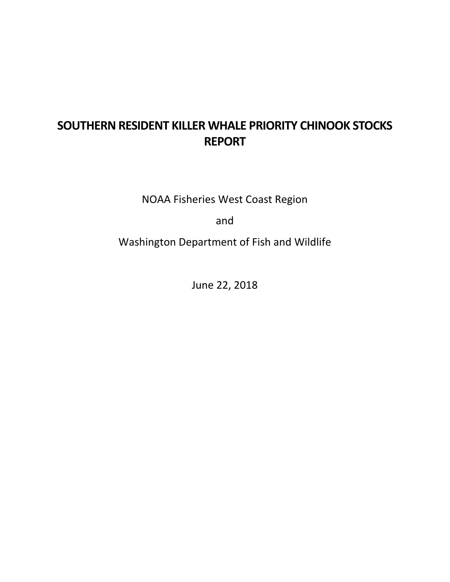# **SOUTHERN RESIDENT KILLER WHALE PRIORITY CHINOOK STOCKS REPORT**

NOAA Fisheries West Coast Region

and

Washington Department of Fish and Wildlife

June 22, 2018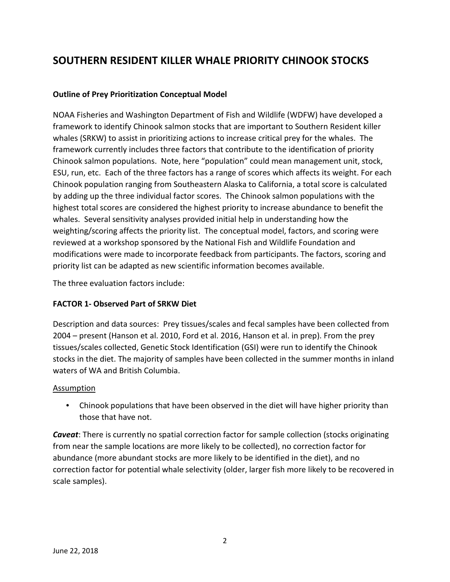# **SOUTHERN RESIDENT KILLER WHALE PRIORITY CHINOOK STOCKS**

#### **Outline of Prey Prioritization Conceptual Model**

NOAA Fisheries and Washington Department of Fish and Wildlife (WDFW) have developed a framework to identify Chinook salmon stocks that are important to Southern Resident killer whales (SRKW) to assist in prioritizing actions to increase critical prey for the whales. The framework currently includes three factors that contribute to the identification of priority Chinook salmon populations. Note, here "population" could mean management unit, stock, ESU, run, etc. Each of the three factors has a range of scores which affects its weight. For each Chinook population ranging from Southeastern Alaska to California, a total score is calculated by adding up the three individual factor scores. The Chinook salmon populations with the highest total scores are considered the highest priority to increase abundance to benefit the whales. Several sensitivity analyses provided initial help in understanding how the weighting/scoring affects the priority list. The conceptual model, factors, and scoring were reviewed at a workshop sponsored by the National Fish and Wildlife Foundation and modifications were made to incorporate feedback from participants. The factors, scoring and priority list can be adapted as new scientific information becomes available.

The three evaluation factors include:

#### **FACTOR 1- Observed Part of SRKW Diet**

Description and data sources: Prey tissues/scales and fecal samples have been collected from 2004 – present (Hanson et al. 2010, Ford et al. 2016, Hanson et al. in prep). From the prey tissues/scales collected, Genetic Stock Identification (GSI) were run to identify the Chinook stocks in the diet. The majority of samples have been collected in the summer months in inland waters of WA and British Columbia.

#### Assumption

• Chinook populations that have been observed in the diet will have higher priority than those that have not.

*Caveat*: There is currently no spatial correction factor for sample collection (stocks originating from near the sample locations are more likely to be collected), no correction factor for abundance (more abundant stocks are more likely to be identified in the diet), and no correction factor for potential whale selectivity (older, larger fish more likely to be recovered in scale samples).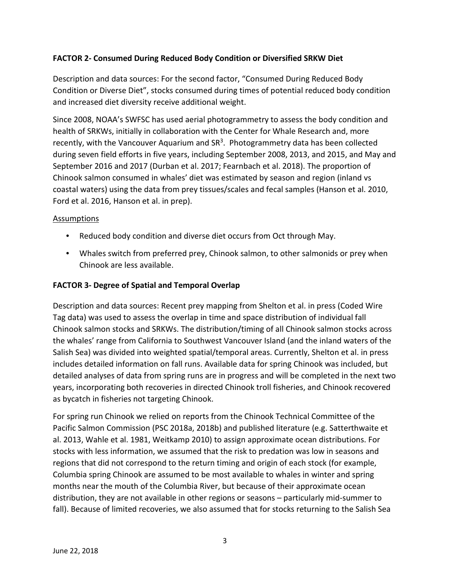### **FACTOR 2- Consumed During Reduced Body Condition or Diversified SRKW Diet**

Description and data sources: For the second factor, "Consumed During Reduced Body Condition or Diverse Diet", stocks consumed during times of potential reduced body condition and increased diet diversity receive additional weight.

Since 2008, NOAA's SWFSC has used aerial photogrammetry to assess the body condition and health of SRKWs, initially in collaboration with the Center for Whale Research and, more recently, with the Vancouver Aquarium and  $SR<sup>3</sup>$ . Photogrammetry data has been collected during seven field efforts in five years, including September 2008, 2013, and 2015, and May and September 2016 and 2017 (Durban et al. 2017; Fearnbach et al. 2018). The proportion of Chinook salmon consumed in whales' diet was estimated by season and region (inland vs coastal waters) using the data from prey tissues/scales and fecal samples (Hanson et al. 2010, Ford et al. 2016, Hanson et al. in prep).

#### Assumptions

- Reduced body condition and diverse diet occurs from Oct through May.
- Whales switch from preferred prey, Chinook salmon, to other salmonids or prey when Chinook are less available.

#### **FACTOR 3- Degree of Spatial and Temporal Overlap**

Description and data sources: Recent prey mapping from Shelton et al. in press (Coded Wire Tag data) was used to assess the overlap in time and space distribution of individual fall Chinook salmon stocks and SRKWs. The distribution/timing of all Chinook salmon stocks across the whales' range from California to Southwest Vancouver Island (and the inland waters of the Salish Sea) was divided into weighted spatial/temporal areas. Currently, Shelton et al. in press includes detailed information on fall runs. Available data for spring Chinook was included, but detailed analyses of data from spring runs are in progress and will be completed in the next two years, incorporating both recoveries in directed Chinook troll fisheries, and Chinook recovered as bycatch in fisheries not targeting Chinook.

For spring run Chinook we relied on reports from the Chinook Technical Committee of the Pacific Salmon Commission (PSC 2018a, 2018b) and published literature (e.g. Satterthwaite et al. 2013, Wahle et al. 1981, Weitkamp 2010) to assign approximate ocean distributions. For stocks with less information, we assumed that the risk to predation was low in seasons and regions that did not correspond to the return timing and origin of each stock (for example, Columbia spring Chinook are assumed to be most available to whales in winter and spring months near the mouth of the Columbia River, but because of their approximate ocean distribution, they are not available in other regions or seasons – particularly mid-summer to fall). Because of limited recoveries, we also assumed that for stocks returning to the Salish Sea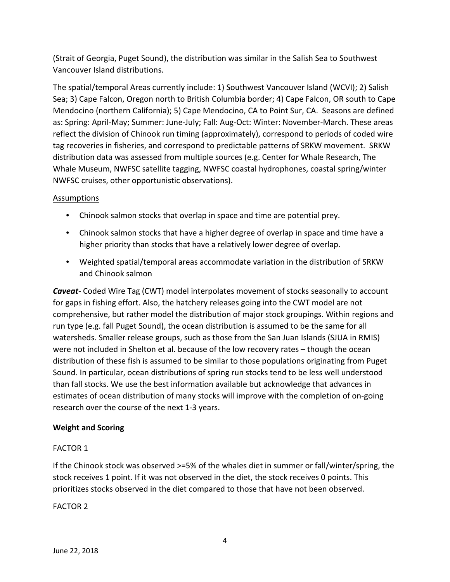(Strait of Georgia, Puget Sound), the distribution was similar in the Salish Sea to Southwest Vancouver Island distributions.

The spatial/temporal Areas currently include: 1) Southwest Vancouver Island (WCVI); 2) Salish Sea; 3) Cape Falcon, Oregon north to British Columbia border; 4) Cape Falcon, OR south to Cape Mendocino (northern California); 5) Cape Mendocino, CA to Point Sur, CA. Seasons are defined as: Spring: April-May; Summer: June-July; Fall: Aug-Oct: Winter: November-March. These areas reflect the division of Chinook run timing (approximately), correspond to periods of coded wire tag recoveries in fisheries, and correspond to predictable patterns of SRKW movement. SRKW distribution data was assessed from multiple sources (e.g. Center for Whale Research, The Whale Museum, NWFSC satellite tagging, NWFSC coastal hydrophones, coastal spring/winter NWFSC cruises, other opportunistic observations).

### Assumptions

- Chinook salmon stocks that overlap in space and time are potential prey.
- Chinook salmon stocks that have a higher degree of overlap in space and time have a higher priority than stocks that have a relatively lower degree of overlap.
- Weighted spatial/temporal areas accommodate variation in the distribution of SRKW and Chinook salmon

*Caveat*- Coded Wire Tag (CWT) model interpolates movement of stocks seasonally to account for gaps in fishing effort. Also, the hatchery releases going into the CWT model are not comprehensive, but rather model the distribution of major stock groupings. Within regions and run type (e.g. fall Puget Sound), the ocean distribution is assumed to be the same for all watersheds. Smaller release groups, such as those from the San Juan Islands (SJUA in RMIS) were not included in Shelton et al. because of the low recovery rates – though the ocean distribution of these fish is assumed to be similar to those populations originating from Puget Sound. In particular, ocean distributions of spring run stocks tend to be less well understood than fall stocks. We use the best information available but acknowledge that advances in estimates of ocean distribution of many stocks will improve with the completion of on-going research over the course of the next 1-3 years.

## **Weight and Scoring**

## FACTOR 1

If the Chinook stock was observed >=5% of the whales diet in summer or fall/winter/spring, the stock receives 1 point. If it was not observed in the diet, the stock receives 0 points. This prioritizes stocks observed in the diet compared to those that have not been observed.

#### FACTOR 2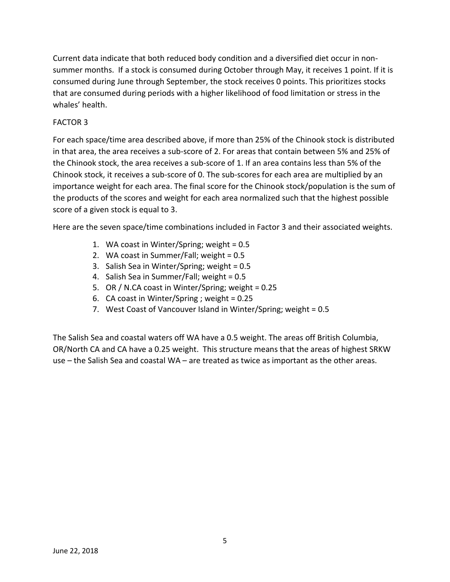Current data indicate that both reduced body condition and a diversified diet occur in nonsummer months. If a stock is consumed during October through May, it receives 1 point. If it is consumed during June through September, the stock receives 0 points. This prioritizes stocks that are consumed during periods with a higher likelihood of food limitation or stress in the whales' health.

#### FACTOR 3

For each space/time area described above, if more than 25% of the Chinook stock is distributed in that area, the area receives a sub-score of 2. For areas that contain between 5% and 25% of the Chinook stock, the area receives a sub-score of 1. If an area contains less than 5% of the Chinook stock, it receives a sub-score of 0. The sub-scores for each area are multiplied by an importance weight for each area. The final score for the Chinook stock/population is the sum of the products of the scores and weight for each area normalized such that the highest possible score of a given stock is equal to 3.

Here are the seven space/time combinations included in Factor 3 and their associated weights.

- 1. WA coast in Winter/Spring; weight = 0.5
- 2. WA coast in Summer/Fall; weight = 0.5
- 3. Salish Sea in Winter/Spring; weight = 0.5
- 4. Salish Sea in Summer/Fall; weight = 0.5
- 5. OR / N.CA coast in Winter/Spring; weight = 0.25
- 6. CA coast in Winter/Spring ; weight = 0.25
- 7. West Coast of Vancouver Island in Winter/Spring; weight = 0.5

The Salish Sea and coastal waters off WA have a 0.5 weight. The areas off British Columbia, OR/North CA and CA have a 0.25 weight. This structure means that the areas of highest SRKW use – the Salish Sea and coastal WA – are treated as twice as important as the other areas.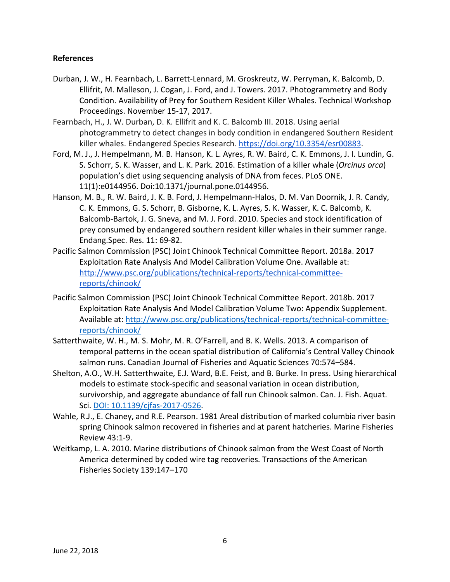#### **References**

- Durban, J. W., H. Fearnbach, L. Barrett-Lennard, M. Groskreutz, W. Perryman, K. Balcomb, D. Ellifrit, M. Malleson, J. Cogan, J. Ford, and J. Towers. 2017. Photogrammetry and Body Condition. Availability of Prey for Southern Resident Killer Whales. Technical Workshop Proceedings. November 15-17, 2017.
- Fearnbach, H., J. W. Durban, D. K. Ellifrit and K. C. Balcomb III. 2018. Using aerial photogrammetry to detect changes in body condition in endangered Southern Resident killer whales. Endangered Species Research. [https://doi.org/10.3354/esr00883.](https://doi.org/10.3354/esr00883)
- Ford, M. J., J. Hempelmann, M. B. Hanson, K. L. Ayres, R. W. Baird, C. K. Emmons, J. I. Lundin, G. S. Schorr, S. K. Wasser, and L. K. Park. 2016. Estimation of a killer whale (*Orcinus orca*) population's diet using sequencing analysis of DNA from feces. PLoS ONE. 11(1):e0144956. Doi:10.1371/journal.pone.0144956.
- Hanson, M. B., R. W. Baird, J. K. B. Ford, J. Hempelmann-Halos, D. M. Van Doornik, J. R. Candy, C. K. Emmons, G. S. Schorr, B. Gisborne, K. L. Ayres, S. K. Wasser, K. C. Balcomb, K. Balcomb-Bartok, J. G. Sneva, and M. J. Ford. 2010. Species and stock identification of prey consumed by endangered southern resident killer whales in their summer range. Endang.Spec. Res. 11: 69-82.
- Pacific Salmon Commission (PSC) Joint Chinook Technical Committee Report. 2018a. 2017 Exploitation Rate Analysis And Model Calibration Volume One. Available at: [http://www.psc.org/publications/technical-reports/technical-committee](http://www.psc.org/publications/technical-reports/technical-committee-reports/chinook/)[reports/chinook/](http://www.psc.org/publications/technical-reports/technical-committee-reports/chinook/)
- Pacific Salmon Commission (PSC) Joint Chinook Technical Committee Report. 2018b. 2017 Exploitation Rate Analysis And Model Calibration Volume Two: Appendix Supplement. Available at: [http://www.psc.org/publications/technical-reports/technical-committee](http://www.psc.org/publications/technical-reports/technical-committee-reports/chinook/)[reports/chinook/](http://www.psc.org/publications/technical-reports/technical-committee-reports/chinook/)
- Satterthwaite, W. H., M. S. Mohr, M. R. O'Farrell, and B. K. Wells. 2013. A comparison of temporal patterns in the ocean spatial distribution of California's Central Valley Chinook salmon runs. Canadian Journal of Fisheries and Aquatic Sciences 70:574–584.
- Shelton, A.O., W.H. Satterthwaite, E.J. Ward, B.E. Feist, and B. Burke. In press. Using hierarchical models to estimate stock-specific and seasonal variation in ocean distribution, survivorship, and aggregate abundance of fall run Chinook salmon. Can. J. Fish. Aquat. Sci. [DOI: 10.1139/cjfas-2017-0526.](http://www.nrcresearchpress.com/doi/10.1139/cjfas-2017-0204#.WywHo1VKjmE)
- Wahle, R.J., E. Chaney, and R.E. Pearson. 1981 Areal distribution of marked columbia river basin spring Chinook salmon recovered in fisheries and at parent hatcheries. Marine Fisheries Review 43:1-9.
- Weitkamp, L. A. 2010. Marine distributions of Chinook salmon from the West Coast of North America determined by coded wire tag recoveries. Transactions of the American Fisheries Society 139:147–170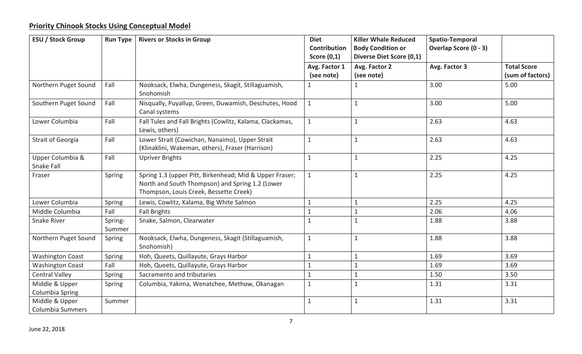# **Priority Chinook Stocks Using Conceptual Model**

| <b>ESU / Stock Group</b>                  | <b>Run Type</b>   | <b>Rivers or Stocks in Group</b>                                                                                                                     | <b>Diet</b><br><b>Killer Whale Reduced</b><br><b>Contribution</b><br><b>Body Condition or</b><br>Score $(0,1)$<br>Diverse Diet Score (0,1) |                             | <b>Spatio-Temporal</b><br>Overlap Score (0 - 3) |                                        |  |
|-------------------------------------------|-------------------|------------------------------------------------------------------------------------------------------------------------------------------------------|--------------------------------------------------------------------------------------------------------------------------------------------|-----------------------------|-------------------------------------------------|----------------------------------------|--|
|                                           |                   |                                                                                                                                                      | Avg. Factor 1<br>(see note)                                                                                                                | Avg. Factor 2<br>(see note) | Avg. Factor 3                                   | <b>Total Score</b><br>(sum of factors) |  |
| Northern Puget Sound                      | Fall              | Nooksack, Elwha, Dungeness, Skagit, Stillaguamish,<br>Snohomish                                                                                      |                                                                                                                                            | 1                           | 3.00                                            | 5.00                                   |  |
| Southern Puget Sound                      | Fall              | Nisqually, Puyallup, Green, Duwamish, Deschutes, Hood<br>Canal systems                                                                               | $\mathbf{1}$                                                                                                                               | $\mathbf{1}$                | 3.00                                            | 5.00                                   |  |
| Lower Columbia                            | Fall              | Fall Tules and Fall Brights (Cowlitz, Kalama, Clackamas,<br>Lewis, others)                                                                           | $\mathbf{1}$                                                                                                                               | $\mathbf{1}$                | 2.63                                            | 4.63                                   |  |
| <b>Strait of Georgia</b>                  | Fall              | Lower Strait (Cowichan, Nanaimo), Upper Strait<br>(Klinaklini, Wakeman, others), Fraser (Harrison)                                                   | $\mathbf{1}$                                                                                                                               | $\mathbf{1}$                | 2.63                                            | 4.63                                   |  |
| Upper Columbia &<br>Snake Fall            | Fall              | <b>Upriver Brights</b>                                                                                                                               | $\mathbf{1}$                                                                                                                               | $\mathbf{1}$                | 2.25                                            | 4.25                                   |  |
| Fraser                                    | Spring            | Spring 1.3 (upper Pitt, Birkenhead; Mid & Upper Fraser;<br>North and South Thompson) and Spring 1.2 (Lower<br>Thompson, Louis Creek, Bessette Creek) | $\mathbf{1}$                                                                                                                               | $\mathbf{1}$                | 2.25                                            | 4.25                                   |  |
| Lower Columbia                            | Spring            | Lewis, Cowlitz, Kalama, Big White Salmon                                                                                                             | $\mathbf{1}$                                                                                                                               | $\mathbf{1}$                | 2.25                                            | 4.25                                   |  |
| Middle Columbia                           | Fall              | <b>Fall Brights</b>                                                                                                                                  |                                                                                                                                            | 1                           | 2.06                                            | 4.06                                   |  |
| Snake River                               | Spring-<br>Summer | Snake, Salmon, Clearwater                                                                                                                            | $\mathbf{1}$                                                                                                                               | $\mathbf{1}$                | 1.88                                            | 3.88                                   |  |
| Northern Puget Sound                      | Spring            | Nooksack, Elwha, Dungeness, Skagit (Stillaguamish,<br>Snohomish)                                                                                     | $\mathbf{1}$                                                                                                                               | $\mathbf{1}$                | 1.88                                            | 3.88                                   |  |
| <b>Washington Coast</b>                   | Spring            | Hoh, Queets, Quillayute, Grays Harbor                                                                                                                | $\mathbf{1}$                                                                                                                               | $\mathbf{1}$                | 1.69                                            | 3.69                                   |  |
| <b>Washington Coast</b>                   | Fall              | Hoh, Queets, Quillayute, Grays Harbor                                                                                                                | $\mathbf{1}$                                                                                                                               | $\mathbf{1}$                | 1.69                                            | 3.69                                   |  |
| <b>Central Valley</b>                     | Spring            | Sacramento and tributaries                                                                                                                           | $\mathbf{1}$                                                                                                                               | $\mathbf{1}$                | 1.50                                            | 3.50                                   |  |
| Middle & Upper<br>Columbia Spring         | Spring            | Columbia, Yakima, Wenatchee, Methow, Okanagan                                                                                                        | $\mathbf{1}$                                                                                                                               | $\mathbf{1}$                | 1.31                                            | 3.31                                   |  |
| Middle & Upper<br><b>Columbia Summers</b> | Summer            |                                                                                                                                                      | $\mathbf{1}$                                                                                                                               | $\mathbf{1}$                | 1.31                                            | 3.31                                   |  |